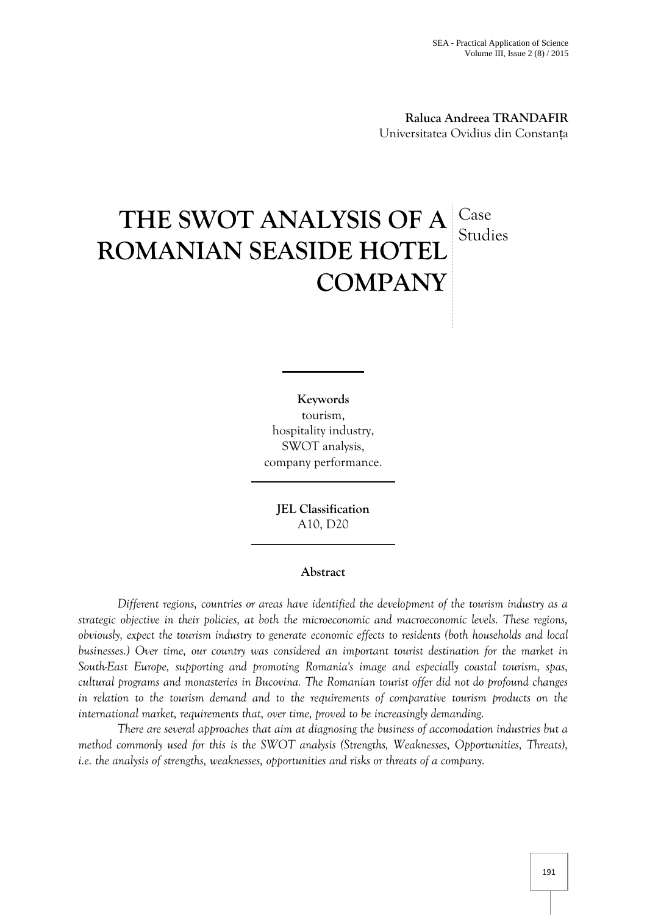**Raluca Andreea TRANDAFIR** Universitatea Ovidius din Constanța

## **THE SWOT ANALYSIS OF A ROMANIAN SEASIDE HOTEL COMPANY** Case Studies

**Keywords** tourism, hospitality industry, SWOT analysis, company performance.

**JEL Classification** A10, D20

## **Abstract**

*Different regions, countries or areas have identified the development of the tourism industry as a strategic objective in their policies, at both the microeconomic and macroeconomic levels. These regions, obviously, expect the tourism industry to generate economic effects to residents (both households and local businesses.) Over time, our country was considered an important tourist destination for the market in South-East Europe, supporting and promoting Romania's image and especially coastal tourism, spas, cultural programs and monasteries in Bucovina. The Romanian tourist offer did not do profound changes in relation to the tourism demand and to the requirements of comparative tourism products on the international market, requirements that, over time, proved to be increasingly demanding.*

*There are several approaches that aim at diagnosing the business of accomodation industries but a method commonly used for this is the SWOT analysis (Strengths, Weaknesses, Opportunities, Threats), i.e. the analysis of strengths, weaknesses, opportunities and risks or threats of a company.*